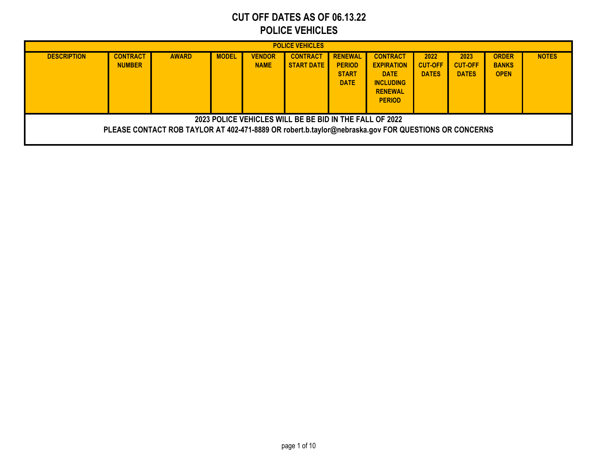# **CUT OFF DATES AS OF 06.13.22 POLICE VEHICLES**

|                    | <b>POLICE VEHICLES</b>                                                                                                                                         |              |              |                              |                                      |                                                                |                                                                                                            |                                        |                                        |                                             |              |  |  |  |
|--------------------|----------------------------------------------------------------------------------------------------------------------------------------------------------------|--------------|--------------|------------------------------|--------------------------------------|----------------------------------------------------------------|------------------------------------------------------------------------------------------------------------|----------------------------------------|----------------------------------------|---------------------------------------------|--------------|--|--|--|
| <b>DESCRIPTION</b> | <b>CONTRACT</b><br><b>NUMBER</b>                                                                                                                               | <b>AWARD</b> | <b>MODEL</b> | <b>VENDOR</b><br><b>NAME</b> | <b>CONTRACT</b><br><b>START DATE</b> | <b>RENEWAL</b><br><b>PERIOD</b><br><b>START</b><br><b>DATE</b> | <b>CONTRACT</b><br><b>EXPIRATION</b><br><b>DATE</b><br><b>INCLUDING</b><br><b>RENEWAL</b><br><b>PERIOD</b> | 2022<br><b>CUT-OFF</b><br><b>DATES</b> | 2023<br><b>CUT-OFF</b><br><b>DATES</b> | <b>ORDER</b><br><b>BANKS</b><br><b>OPEN</b> | <b>NOTES</b> |  |  |  |
|                    | 2023 POLICE VEHICLES WILL BE BE BID IN THE FALL OF 2022<br>PLEASE CONTACT ROB TAYLOR AT 402-471-8889 OR robert.b.taylor@nebraska.gov FOR QUESTIONS OR CONCERNS |              |              |                              |                                      |                                                                |                                                                                                            |                                        |                                        |                                             |              |  |  |  |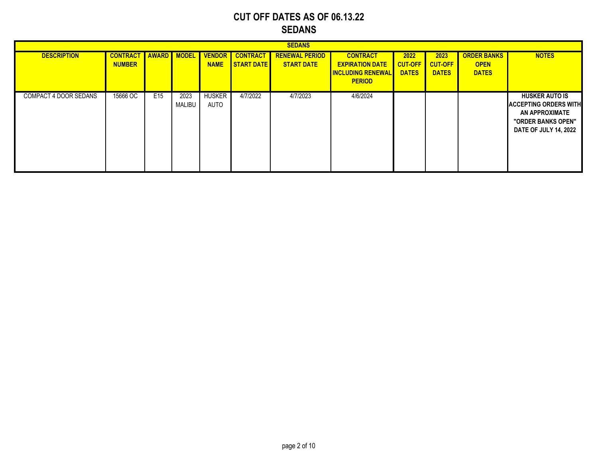### **CUT OFF DATES AS OF 06.13.22 SEDANS**

|                       |                                              |     |                |                       |                                             | <b>SEDANS</b>                              |                                                                                        |                                        |                                        |                                                   |                                                                                                                               |
|-----------------------|----------------------------------------------|-----|----------------|-----------------------|---------------------------------------------|--------------------------------------------|----------------------------------------------------------------------------------------|----------------------------------------|----------------------------------------|---------------------------------------------------|-------------------------------------------------------------------------------------------------------------------------------|
| <b>DESCRIPTION</b>    | <b>CONTRACT AWARD MODEL</b><br><b>NUMBER</b> |     |                | <b>NAME</b>           | <b>VENDOR CONTRACT</b><br><b>START DATE</b> | <b>RENEWAL PERIOD</b><br><b>START DATE</b> | <b>CONTRACT</b><br><b>EXPIRATION DATE</b><br><b>INCLUDING RENEWAL</b><br><b>PERIOD</b> | 2022<br><b>CUT-OFF</b><br><b>DATES</b> | 2023<br><b>CUT-OFF</b><br><b>DATES</b> | <b>ORDER BANKS</b><br><b>OPEN</b><br><b>DATES</b> | <b>NOTES</b>                                                                                                                  |
| COMPACT 4 DOOR SEDANS | 15666 OC                                     | E15 | 2023<br>MALIBU | <b>HUSKER</b><br>AUTO | 4/7/2022                                    | 4/7/2023                                   | 4/6/2024                                                                               |                                        |                                        |                                                   | <b>HUSKER AUTO IS</b><br><b>ACCEPTING ORDERS WITH</b><br>AN APPROXIMATE<br>"ORDER BANKS OPEN"<br><b>DATE OF JULY 14, 2022</b> |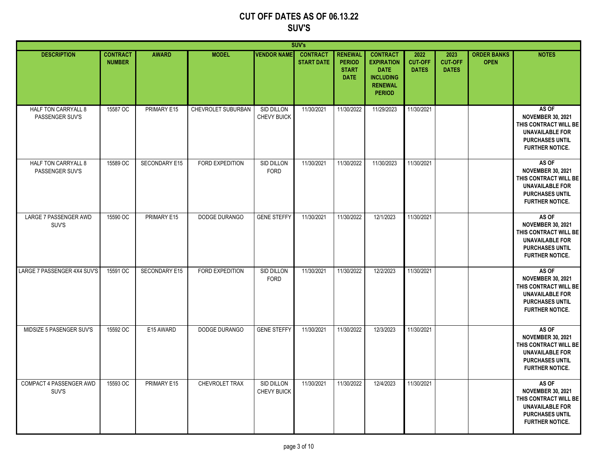### **CUT OFF DATES AS OF 06.13.22 SUV'S**

| <b>SUV's</b>                           |                                  |               |                       |                                  |                                      |                                                                |                                                                                                            |                                        |                                        |                                   |                                                                                                                                          |  |
|----------------------------------------|----------------------------------|---------------|-----------------------|----------------------------------|--------------------------------------|----------------------------------------------------------------|------------------------------------------------------------------------------------------------------------|----------------------------------------|----------------------------------------|-----------------------------------|------------------------------------------------------------------------------------------------------------------------------------------|--|
| <b>DESCRIPTION</b>                     | <b>CONTRACT</b><br><b>NUMBER</b> | <b>AWARD</b>  | <b>MODEL</b>          | <b>VENDOR NAME</b>               | <b>CONTRACT</b><br><b>START DATE</b> | <b>RENEWAL</b><br><b>PERIOD</b><br><b>START</b><br><b>DATE</b> | <b>CONTRACT</b><br><b>EXPIRATION</b><br><b>DATE</b><br><b>INCLUDING</b><br><b>RENEWAL</b><br><b>PERIOD</b> | 2022<br><b>CUT-OFF</b><br><b>DATES</b> | 2023<br><b>CUT-OFF</b><br><b>DATES</b> | <b>ORDER BANKS</b><br><b>OPEN</b> | <b>NOTES</b>                                                                                                                             |  |
| HALF TON CARRYALL 8<br>PASSENGER SUV'S | 15587 OC                         | PRIMARY E15   | CHEVROLET SUBURBAN    | SID DILLON<br>CHEVY BUICK        | 11/30/2021                           | 11/30/2022                                                     | 11/29/2023                                                                                                 | 11/30/2021                             |                                        |                                   | AS OF<br><b>NOVEMBER 30, 2021</b><br>THIS CONTRACT WILL BE<br><b>UNAVAILABLE FOR</b><br><b>PURCHASES UNTIL</b><br><b>FURTHER NOTICE.</b> |  |
| HALF TON CARRYALL 8<br>PASSENGER SUV'S | 15589 OC                         | SECONDARY E15 | FORD EXPEDITION       | SID DILLON<br><b>FORD</b>        | 11/30/2021                           | 11/30/2022                                                     | 11/30/2023                                                                                                 | 11/30/2021                             |                                        |                                   | AS OF<br><b>NOVEMBER 30, 2021</b><br>THIS CONTRACT WILL BE<br><b>UNAVAILABLE FOR</b><br><b>PURCHASES UNTIL</b><br>FURTHER NOTICE.        |  |
| <b>LARGE 7 PASSENGER AWD</b><br>SUV'S  | 15590 OC                         | PRIMARY E15   | DODGE DURANGO         | <b>GENE STEFFY</b>               | 11/30/2021                           | 11/30/2022                                                     | 12/1/2023                                                                                                  | 11/30/2021                             |                                        |                                   | AS OF<br><b>NOVEMBER 30, 2021</b><br>THIS CONTRACT WILL BE<br><b>UNAVAILABLE FOR</b><br><b>PURCHASES UNTIL</b><br><b>FURTHER NOTICE.</b> |  |
| LARGE 7 PASSENGER 4X4 SUV'S            | 15591 OC                         | SECONDARY E15 | FORD EXPEDITION       | SID DILLON<br>FORD               | 11/30/2021                           | 11/30/2022                                                     | 12/2/2023                                                                                                  | 11/30/2021                             |                                        |                                   | AS OF<br><b>NOVEMBER 30, 2021</b><br>THIS CONTRACT WILL BE<br><b>UNAVAILABLE FOR</b><br><b>PURCHASES UNTIL</b><br>FURTHER NOTICE.        |  |
| MIDSIZE 5 PASENGER SUV'S               | 15592 OC                         | E15 AWARD     | DODGE DURANGO         | <b>GENE STEFFY</b>               | 11/30/2021                           | 11/30/2022                                                     | 12/3/2023                                                                                                  | 11/30/2021                             |                                        |                                   | AS OF<br><b>NOVEMBER 30, 2021</b><br>THIS CONTRACT WILL BE<br><b>UNAVAILABLE FOR</b><br><b>PURCHASES UNTIL</b><br><b>FURTHER NOTICE.</b> |  |
| COMPACT 4 PASSENGER AWD<br>SUV'S       | 15593 OC                         | PRIMARY E15   | <b>CHEVROLET TRAX</b> | <b>SID DILLON</b><br>CHEVY BUICK | 11/30/2021                           | 11/30/2022                                                     | 12/4/2023                                                                                                  | 11/30/2021                             |                                        |                                   | AS OF<br><b>NOVEMBER 30, 2021</b><br>THIS CONTRACT WILL BE<br><b>UNAVAILABLE FOR</b><br><b>PURCHASES UNTIL</b><br><b>FURTHER NOTICE.</b> |  |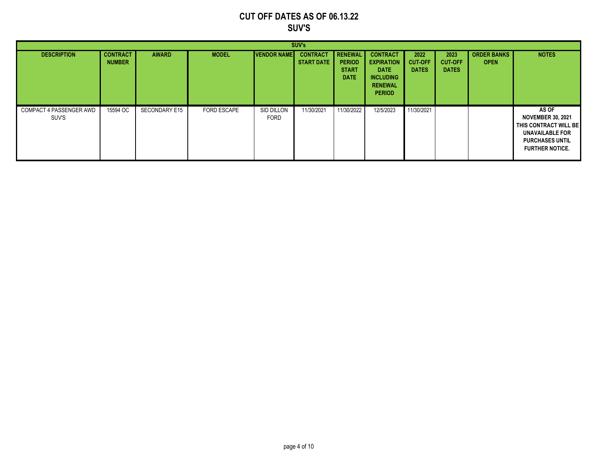### **CUT OFF DATES AS OF 06.13.22 SUV'S**

|                                         |                                  |                      |                    |                     | SUV's                                |                                                                |                                                                                                            |                                        |                                        |                                   |                                                                                                                                          |
|-----------------------------------------|----------------------------------|----------------------|--------------------|---------------------|--------------------------------------|----------------------------------------------------------------|------------------------------------------------------------------------------------------------------------|----------------------------------------|----------------------------------------|-----------------------------------|------------------------------------------------------------------------------------------------------------------------------------------|
| <b>DESCRIPTION</b>                      | <b>CONTRACT</b><br><b>NUMBER</b> | <b>AWARD</b>         | <b>MODEL</b>       | <b>VENDOR NAMEL</b> | <b>CONTRACT</b><br><b>START DATE</b> | <b>RENEWAL</b><br><b>PERIOD</b><br><b>START</b><br><b>DATE</b> | <b>CONTRACT</b><br><b>EXPIRATION</b><br><b>DATE</b><br><b>INCLUDING</b><br><b>RENEWAL</b><br><b>PERIOD</b> | 2022<br><b>CUT-OFF</b><br><b>DATES</b> | 2023<br><b>CUT-OFF</b><br><b>DATES</b> | <b>ORDER BANKS</b><br><b>OPEN</b> | <b>NOTES</b>                                                                                                                             |
| <b>COMPACT 4 PASSENGER AWD</b><br>SUV'S | 15594 OC                         | <b>SECONDARY E15</b> | <b>FORD ESCAPE</b> | SID DILLON<br>FORD  | 11/30/2021                           | 11/30/2022                                                     | 12/5/2023                                                                                                  | 11/30/2021                             |                                        |                                   | AS OF<br><b>NOVEMBER 30, 2021</b><br>THIS CONTRACT WILL BE<br><b>UNAVAILABLE FOR</b><br><b>PURCHASES UNTIL</b><br><b>FURTHER NOTICE.</b> |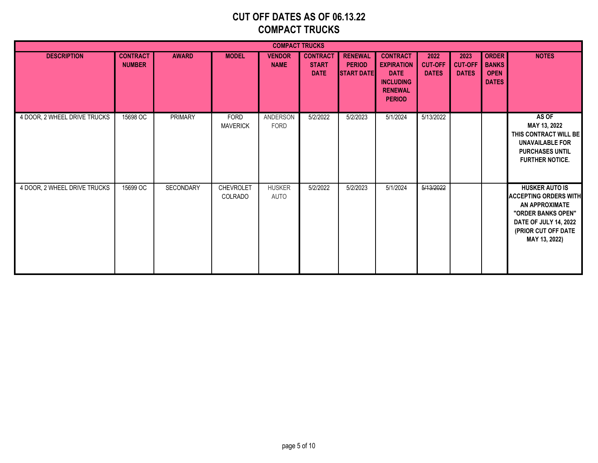# **CUT OFF DATES AS OF 06.13.22 COMPACT TRUCKS**

|                              |                                  |                  |                             | <b>COMPACT TRUCKS</b>        |                                                |                                               |                                                                                                            |                                        |                                        |                                                      |                                                                                                                                                                       |
|------------------------------|----------------------------------|------------------|-----------------------------|------------------------------|------------------------------------------------|-----------------------------------------------|------------------------------------------------------------------------------------------------------------|----------------------------------------|----------------------------------------|------------------------------------------------------|-----------------------------------------------------------------------------------------------------------------------------------------------------------------------|
| <b>DESCRIPTION</b>           | <b>CONTRACT</b><br><b>NUMBER</b> | <b>AWARD</b>     | <b>MODEL</b>                | <b>VENDOR</b><br><b>NAME</b> | <b>CONTRACT</b><br><b>START</b><br><b>DATE</b> | <b>RENEWAL</b><br><b>PERIOD</b><br>START DATE | <b>CONTRACT</b><br><b>EXPIRATION</b><br><b>DATE</b><br><b>INCLUDING</b><br><b>RENEWAL</b><br><b>PERIOD</b> | 2022<br><b>CUT-OFF</b><br><b>DATES</b> | 2023<br><b>CUT-OFF</b><br><b>DATES</b> | ORDER<br><b>BANKS</b><br><b>OPEN</b><br><b>DATES</b> | <b>NOTES</b>                                                                                                                                                          |
| 4 DOOR, 2 WHEEL DRIVE TRUCKS | 15698 OC                         | <b>PRIMARY</b>   | FORD<br><b>MAVERICK</b>     | ANDERSON<br>FORD             | 5/2/2022                                       | 5/2/2023                                      | 5/1/2024                                                                                                   | 5/13/2022                              |                                        |                                                      | AS OF<br>MAY 13, 2022<br>THIS CONTRACT WILL BE<br><b>UNAVAILABLE FOR</b><br><b>PURCHASES UNTIL</b><br><b>FURTHER NOTICE.</b>                                          |
| 4 DOOR, 2 WHEEL DRIVE TRUCKS | 15699 OC                         | <b>SECONDARY</b> | <b>CHEVROLET</b><br>COLRADO | <b>HUSKER</b><br><b>AUTO</b> | 5/2/2022                                       | 5/2/2023                                      | 5/1/2024                                                                                                   | 5/13/2022                              |                                        |                                                      | <b>HUSKER AUTO IS</b><br><b>ACCEPTING ORDERS WITH</b><br>AN APPROXIMATE<br>"ORDER BANKS OPEN"<br><b>DATE OF JULY 14, 2022</b><br>(PRIOR CUT OFF DATE<br>MAY 13, 2022) |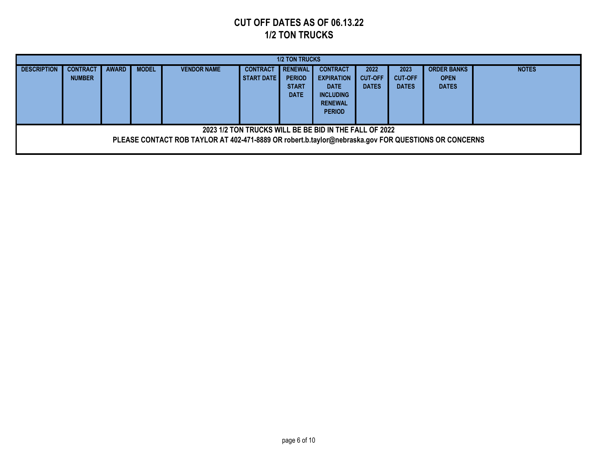### **CUT OFF DATES AS OF 06.13.22 1/2 TON TRUCKS**

|                    | <b>1/2 TON TRUCKS</b>                                                                               |              |              |                    |                     |                |                   |                |                |                    |              |  |  |
|--------------------|-----------------------------------------------------------------------------------------------------|--------------|--------------|--------------------|---------------------|----------------|-------------------|----------------|----------------|--------------------|--------------|--|--|
| <b>DESCRIPTION</b> | <b>CONTRACT</b>                                                                                     | <b>AWARD</b> | <b>MODEL</b> | <b>VENDOR NAME</b> | <b>CONTRACT</b>     | <b>RENEWAL</b> | <b>CONTRACT</b>   | 2022           | 2023           | <b>ORDER BANKS</b> | <b>NOTES</b> |  |  |
|                    | <b>NUMBER</b>                                                                                       |              |              |                    | <b>START DATE I</b> | <b>PERIOD</b>  | <b>EXPIRATION</b> | <b>CUT-OFF</b> | <b>CUT-OFF</b> | <b>OPEN</b>        |              |  |  |
|                    |                                                                                                     |              |              |                    |                     | <b>START</b>   | <b>DATE</b>       | <b>DATES</b>   | <b>DATES</b>   | <b>DATES</b>       |              |  |  |
|                    |                                                                                                     |              |              |                    |                     | <b>DATE</b>    | <b>INCLUDING</b>  |                |                |                    |              |  |  |
|                    |                                                                                                     |              |              |                    |                     |                | <b>RENEWAL</b>    |                |                |                    |              |  |  |
|                    |                                                                                                     |              |              |                    |                     |                | <b>PERIOD</b>     |                |                |                    |              |  |  |
|                    |                                                                                                     |              |              |                    |                     |                |                   |                |                |                    |              |  |  |
|                    | 2023 1/2 TON TRUCKS WILL BE BE BID IN THE FALL OF 2022                                              |              |              |                    |                     |                |                   |                |                |                    |              |  |  |
|                    | PLEASE CONTACT ROB TAYLOR AT 402-471-8889 OR robert.b.taylor@nebraska.gov FOR QUESTIONS OR CONCERNS |              |              |                    |                     |                |                   |                |                |                    |              |  |  |
|                    |                                                                                                     |              |              |                    |                     |                |                   |                |                |                    |              |  |  |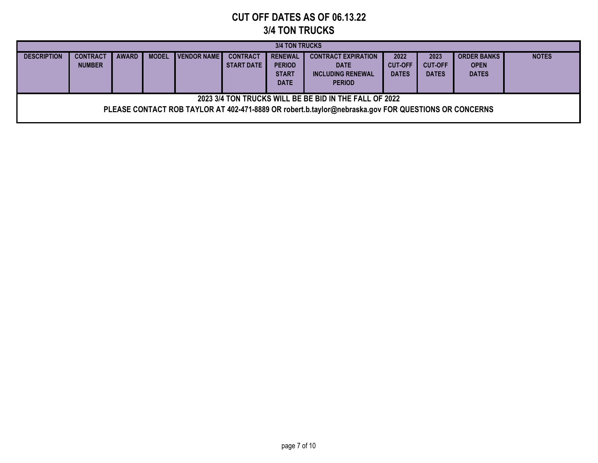# **CUT OFF DATES AS OF 06.13.22 3/4 TON TRUCKS**

|                    | <b>3/4 TON TRUCKS</b>                                                                                                                                         |              |              |                     |                                      |                                                                |                                                                                        |                                        |                                        |                                                   |              |  |  |  |
|--------------------|---------------------------------------------------------------------------------------------------------------------------------------------------------------|--------------|--------------|---------------------|--------------------------------------|----------------------------------------------------------------|----------------------------------------------------------------------------------------|----------------------------------------|----------------------------------------|---------------------------------------------------|--------------|--|--|--|
| <b>DESCRIPTION</b> | <b>CONTRACT</b><br><b>NUMBER</b>                                                                                                                              | <b>AWARD</b> | <b>MODEL</b> | <b>IVENDOR NAME</b> | <b>CONTRACT</b><br><b>START DATE</b> | <b>RENEWAL</b><br><b>PERIOD</b><br><b>START</b><br><b>DATE</b> | <b>CONTRACT EXPIRATION</b><br><b>DATE</b><br><b>INCLUDING RENEWAL</b><br><b>PERIOD</b> | 2022<br><b>CUT-OFF</b><br><b>DATES</b> | 2023<br><b>CUT-OFF</b><br><b>DATES</b> | <b>ORDER BANKS</b><br><b>OPEN</b><br><b>DATES</b> | <b>NOTES</b> |  |  |  |
|                    | 2023 3/4 TON TRUCKS WILL BE BE BID IN THE FALL OF 2022<br>PLEASE CONTACT ROB TAYLOR AT 402-471-8889 OR robert.b.taylor@nebraska.gov FOR QUESTIONS OR CONCERNS |              |              |                     |                                      |                                                                |                                                                                        |                                        |                                        |                                                   |              |  |  |  |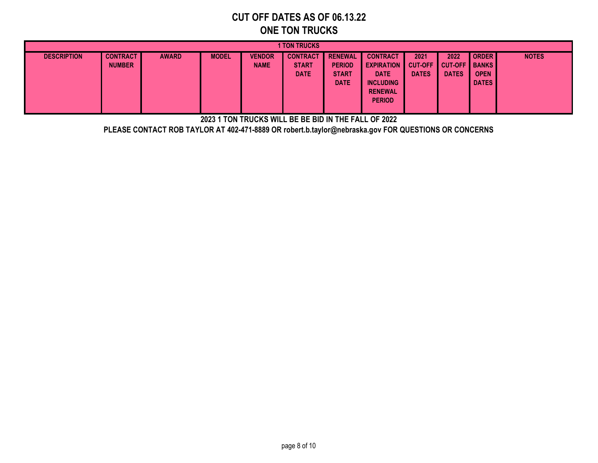# **CUT OFF DATES AS OF 06.13.22 ONE TON TRUCKS**

|                    | <b>1 TON TRUCKS</b>              |              |              |                              |                                 |                                 |                                                                    |                        |                              |                             |              |  |  |  |
|--------------------|----------------------------------|--------------|--------------|------------------------------|---------------------------------|---------------------------------|--------------------------------------------------------------------|------------------------|------------------------------|-----------------------------|--------------|--|--|--|
| <b>DESCRIPTION</b> | <b>CONTRACT</b><br><b>NUMBER</b> | <b>AWARD</b> | <b>MODEL</b> | <b>VENDOR</b><br><b>NAME</b> | <b>CONTRACT</b><br><b>START</b> | <b>RENEWAL</b><br><b>PERIOD</b> | <b>CONTRACT</b><br><b>EXPIRATION</b>                               | 2021<br><b>CUT-OFF</b> | 2022<br><b>CUT-OFF BANKS</b> | <b>ORDER</b>                | <b>NOTES</b> |  |  |  |
|                    |                                  |              |              |                              | <b>DATE</b>                     | <b>START</b><br><b>DATE</b>     | <b>DATE</b><br><b>INCLUDING</b><br><b>RENEWAL</b><br><b>PERIOD</b> | <b>DATES</b>           | <b>DATES</b>                 | <b>OPEN</b><br><b>DATES</b> |              |  |  |  |

**2023 1 TON TRUCKS WILL BE BE BID IN THE FALL OF 2022**

**PLEASE CONTACT ROB TAYLOR AT 402-471-8889 OR robert.b.taylor@nebraska.gov FOR QUESTIONS OR CONCERNS**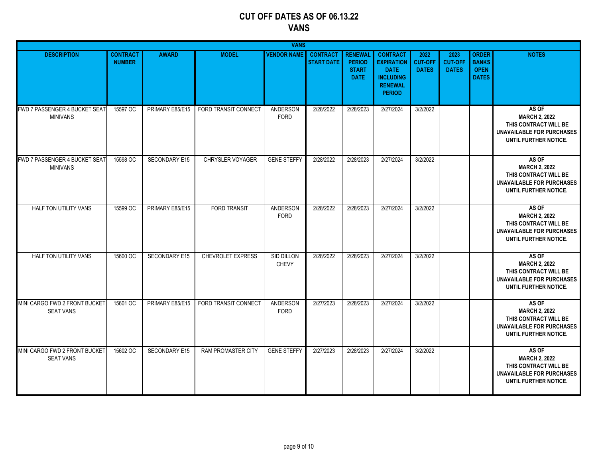### **CUT OFF DATES AS OF 06.13.22 VANS**

| <b>VANS</b>                                       |                                  |                 |                          |                            |                                      |                                                                |                                                                                                            |                                        |                                        |                                                             |                                                                                                                     |  |
|---------------------------------------------------|----------------------------------|-----------------|--------------------------|----------------------------|--------------------------------------|----------------------------------------------------------------|------------------------------------------------------------------------------------------------------------|----------------------------------------|----------------------------------------|-------------------------------------------------------------|---------------------------------------------------------------------------------------------------------------------|--|
| <b>DESCRIPTION</b>                                | <b>CONTRACT</b><br><b>NUMBER</b> | <b>AWARD</b>    | <b>MODEL</b>             | <b>VENDOR NAME</b>         | <b>CONTRACT</b><br><b>START DATE</b> | <b>RENEWAL</b><br><b>PERIOD</b><br><b>START</b><br><b>DATE</b> | <b>CONTRACT</b><br><b>EXPIRATION</b><br><b>DATE</b><br><b>INCLUDING</b><br><b>RENEWAL</b><br><b>PERIOD</b> | 2022<br><b>CUT-OFF</b><br><b>DATES</b> | 2023<br><b>CUT-OFF</b><br><b>DATES</b> | <b>ORDER</b><br><b>BANKS</b><br><b>OPEN</b><br><b>DATES</b> | <b>NOTES</b>                                                                                                        |  |
| FWD 7 PASSENGER 4 BUCKET SEAT<br><b>MINIVANS</b>  | 15597 OC                         | PRIMARY E85/E15 | FORD TRANSIT CONNECT     | ANDERSON<br><b>FORD</b>    | 2/28/2022                            | 2/28/2023                                                      | 2/27/2024                                                                                                  | 3/2/2022                               |                                        |                                                             | AS OF<br><b>MARCH 2, 2022</b><br>THIS CONTRACT WILL BE<br>UNAVAILABLE FOR PURCHASES<br>UNTIL FURTHER NOTICE.        |  |
| FWD 7 PASSENGER 4 BUCKET SEAT<br><b>MINIVANS</b>  | 15598 OC                         | SECONDARY E15   | CHRYSLER VOYAGER         | <b>GENE STEFFY</b>         | 2/28/2022                            | 2/28/2023                                                      | 2/27/2024                                                                                                  | 3/2/2022                               |                                        |                                                             | AS OF<br><b>MARCH 2, 2022</b><br>THIS CONTRACT WILL BE<br><b>UNAVAILABLE FOR PURCHASES</b><br>UNTIL FURTHER NOTICE. |  |
| HALF TON UTILITY VANS                             | 15599 OC                         | PRIMARY E85/E15 | <b>FORD TRANSIT</b>      | ANDERSON<br><b>FORD</b>    | 2/28/2022                            | 2/28/2023                                                      | 2/27/2024                                                                                                  | 3/2/2022                               |                                        |                                                             | AS OF<br><b>MARCH 2, 2022</b><br>THIS CONTRACT WILL BE<br>UNAVAILABLE FOR PURCHASES<br>UNTIL FURTHER NOTICE.        |  |
| HALF TON UTILITY VANS                             | 15600 OC                         | SECONDARY E15   | <b>CHEVROLET EXPRESS</b> | <b>SID DILLON</b><br>CHEVY | 2/28/2022                            | 2/28/2023                                                      | 2/27/2024                                                                                                  | 3/2/2022                               |                                        |                                                             | AS OF<br><b>MARCH 2, 2022</b><br>THIS CONTRACT WILL BE<br>UNAVAILABLE FOR PURCHASES<br>UNTIL FURTHER NOTICE.        |  |
| MINI CARGO FWD 2 FRONT BUCKET<br><b>SEAT VANS</b> | 15601 OC                         | PRIMARY E85/E15 | FORD TRANSIT CONNECT     | ANDERSON<br><b>FORD</b>    | 2/27/2023                            | 2/28/2023                                                      | 2/27/2024                                                                                                  | 3/2/2022                               |                                        |                                                             | AS OF<br><b>MARCH 2, 2022</b><br>THIS CONTRACT WILL BE<br>UNAVAILABLE FOR PURCHASES<br>UNTIL FURTHER NOTICE.        |  |
| MINI CARGO FWD 2 FRONT BUCKET<br><b>SEAT VANS</b> | 15602 OC                         | SECONDARY E15   | RAM PROMASTER CITY       | <b>GENE STEFFY</b>         | 2/27/2023                            | 2/28/2023                                                      | 2/27/2024                                                                                                  | 3/2/2022                               |                                        |                                                             | AS OF<br><b>MARCH 2, 2022</b><br>THIS CONTRACT WILL BE<br><b>UNAVAILABLE FOR PURCHASES</b><br>UNTIL FURTHER NOTICE. |  |